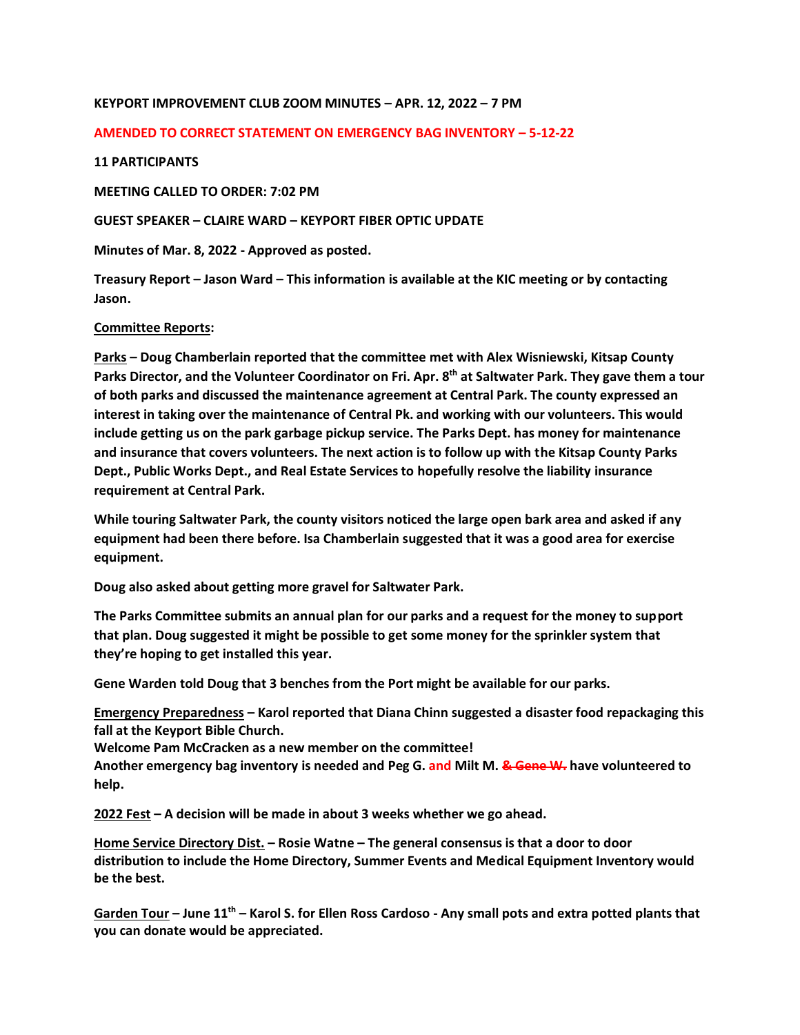# **KEYPORT IMPROVEMENT CLUB ZOOM MINUTES – APR. 12, 2022 – 7 PM**

#### **AMENDED TO CORRECT STATEMENT ON EMERGENCY BAG INVENTORY – 5-12-22**

# **11 PARTICIPANTS**

**MEETING CALLED TO ORDER: 7:02 PM**

**GUEST SPEAKER – CLAIRE WARD – KEYPORT FIBER OPTIC UPDATE** 

**Minutes of Mar. 8, 2022 - Approved as posted.**

**Treasury Report – Jason Ward – This information is available at the KIC meeting or by contacting Jason.**

# **Committee Reports:**

**Parks – Doug Chamberlain reported that the committee met with Alex Wisniewski, Kitsap County Parks Director, and the Volunteer Coordinator on Fri. Apr. 8th at Saltwater Park. They gave them a tour of both parks and discussed the maintenance agreement at Central Park. The county expressed an interest in taking over the maintenance of Central Pk. and working with our volunteers. This would include getting us on the park garbage pickup service. The Parks Dept. has money for maintenance and insurance that covers volunteers. The next action is to follow up with the Kitsap County Parks Dept., Public Works Dept., and Real Estate Services to hopefully resolve the liability insurance requirement at Central Park.** 

**While touring Saltwater Park, the county visitors noticed the large open bark area and asked if any equipment had been there before. Isa Chamberlain suggested that it was a good area for exercise equipment.** 

**Doug also asked about getting more gravel for Saltwater Park.** 

**The Parks Committee submits an annual plan for our parks and a request for the money to support that plan. Doug suggested it might be possible to get some money for the sprinkler system that they're hoping to get installed this year.**

**Gene Warden told Doug that 3 benches from the Port might be available for our parks.** 

**Emergency Preparedness – Karol reported that Diana Chinn suggested a disaster food repackaging this fall at the Keyport Bible Church.** 

**Welcome Pam McCracken as a new member on the committee!**

**Another emergency bag inventory is needed and Peg G. and Milt M. & Gene W. have volunteered to help.** 

**2022 Fest – A decision will be made in about 3 weeks whether we go ahead.** 

**Home Service Directory Dist. – Rosie Watne – The general consensus is that a door to door distribution to include the Home Directory, Summer Events and Medical Equipment Inventory would be the best.**

**Garden Tour – June 11th – Karol S. for Ellen Ross Cardoso - Any small pots and extra potted plants that you can donate would be appreciated.**